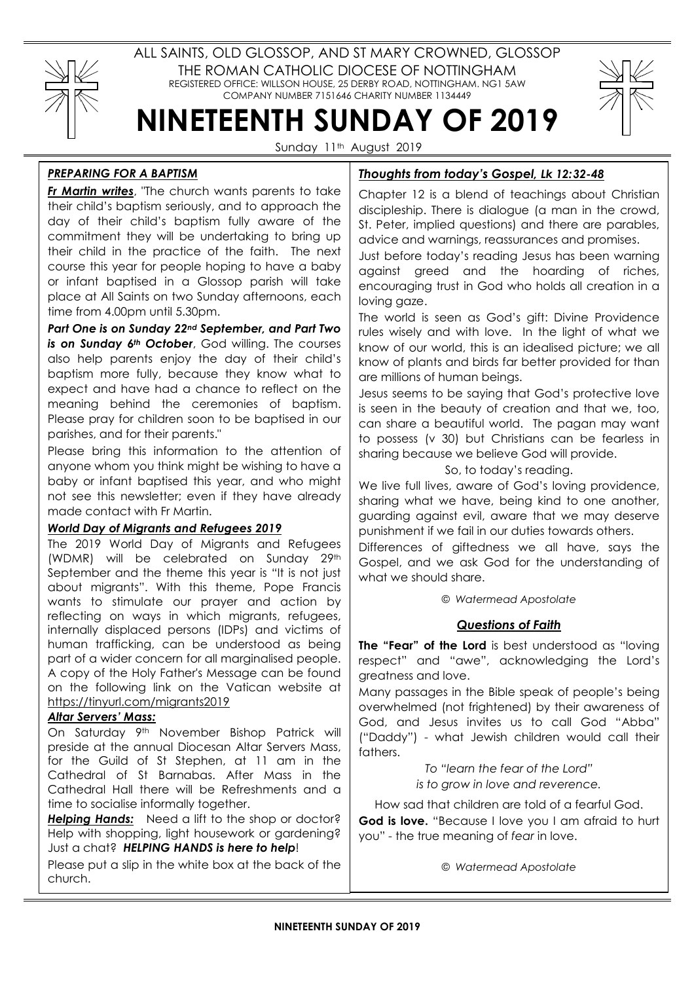

ALL SAINTS, OLD GLOSSOP, AND ST MARY CROWNED, GLOSSOP THE ROMAN CATHOLIC DIOCESE OF NOTTINGHAM REGISTERED OFFICE: WILLSON HOUSE, 25 DERBY ROAD, NOTTINGHAM. NG1 5AW COMPANY NUMBER 7151646 CHARITY NUMBER 1134449

# NINETEENTH SUNDAY OF 2019

Sunday 11<sup>th</sup> August 2019

## PREPARING FOR A BAPTISM

Fr Martin writes, "The church wants parents to take their child's baptism seriously, and to approach the day of their child's baptism fully aware of the commitment they will be undertaking to bring up their child in the practice of the faith. The next course this year for people hoping to have a baby or infant baptised in a Glossop parish will take place at All Saints on two Sunday afternoons, each time from 4.00pm until 5.30pm.

Part One is on Sunday 22nd September, and Part Two is on Sunday 6<sup>th</sup> October, God willing. The courses also help parents enjoy the day of their child's baptism more fully, because they know what to expect and have had a chance to reflect on the meaning behind the ceremonies of baptism. Please pray for children soon to be baptised in our parishes, and for their parents."

Please bring this information to the attention of anyone whom you think might be wishing to have a baby or infant baptised this year, and who might not see this newsletter; even if they have already made contact with Fr Martin.

## World Day of Migrants and Refugees 2019

The 2019 World Day of Migrants and Refugees (WDMR) will be celebrated on Sunday 29th September and the theme this year is "It is not just about migrants". With this theme, Pope Francis wants to stimulate our prayer and action by reflecting on ways in which migrants, refugees, internally displaced persons (IDPs) and victims of human trafficking, can be understood as being part of a wider concern for all marginalised people. A copy of the Holy Father's Message can be found on the following link on the Vatican website at https://tinyurl.com/migrants2019

#### Altar Servers' Mass:

On Saturday 9<sup>th</sup> November Bishop Patrick will preside at the annual Diocesan Altar Servers Mass, for the Guild of St Stephen, at 11 am in the Cathedral of St Barnabas. After Mass in the Cathedral Hall there will be Refreshments and a time to socialise informally together.

Helping Hands: Need a lift to the shop or doctor? Help with shopping, light housework or gardening? Just a chat? HELPING HANDS is here to help!

Please put a slip in the white box at the back of the church.

# Thoughts from today's Gospel, Lk 12:32-48

Chapter 12 is a blend of teachings about Christian discipleship. There is dialogue (a man in the crowd, St. Peter, implied questions) and there are parables, advice and warnings, reassurances and promises.

Just before today's reading Jesus has been warning against greed and the hoarding of riches, encouraging trust in God who holds all creation in a loving gaze.

The world is seen as God's gift: Divine Providence rules wisely and with love. In the light of what we know of our world, this is an idealised picture; we all know of plants and birds far better provided for than are millions of human beings.

Jesus seems to be saying that God's protective love is seen in the beauty of creation and that we, too, can share a beautiful world. The pagan may want to possess (v 30) but Christians can be fearless in sharing because we believe God will provide.

#### So, to today's reading.

We live full lives, aware of God's loving providence, sharing what we have, being kind to one another, guarding against evil, aware that we may deserve punishment if we fail in our duties towards others.

Differences of giftedness we all have, says the Gospel, and we ask God for the understanding of what we should share.

© Watermead Apostolate

## Questions of Faith

The "Fear" of the Lord is best understood as "loving respect" and "awe", acknowledging the Lord's greatness and love.

Many passages in the Bible speak of people's being overwhelmed (not frightened) by their awareness of God, and Jesus invites us to call God "Abba" ("Daddy") - what Jewish children would call their fathers.

> To "learn the fear of the Lord" is to grow in love and reverence.

How sad that children are told of a fearful God. God is love. "Because I love you I am afraid to hurt you" - the true meaning of fear in love.

© Watermead Apostolate